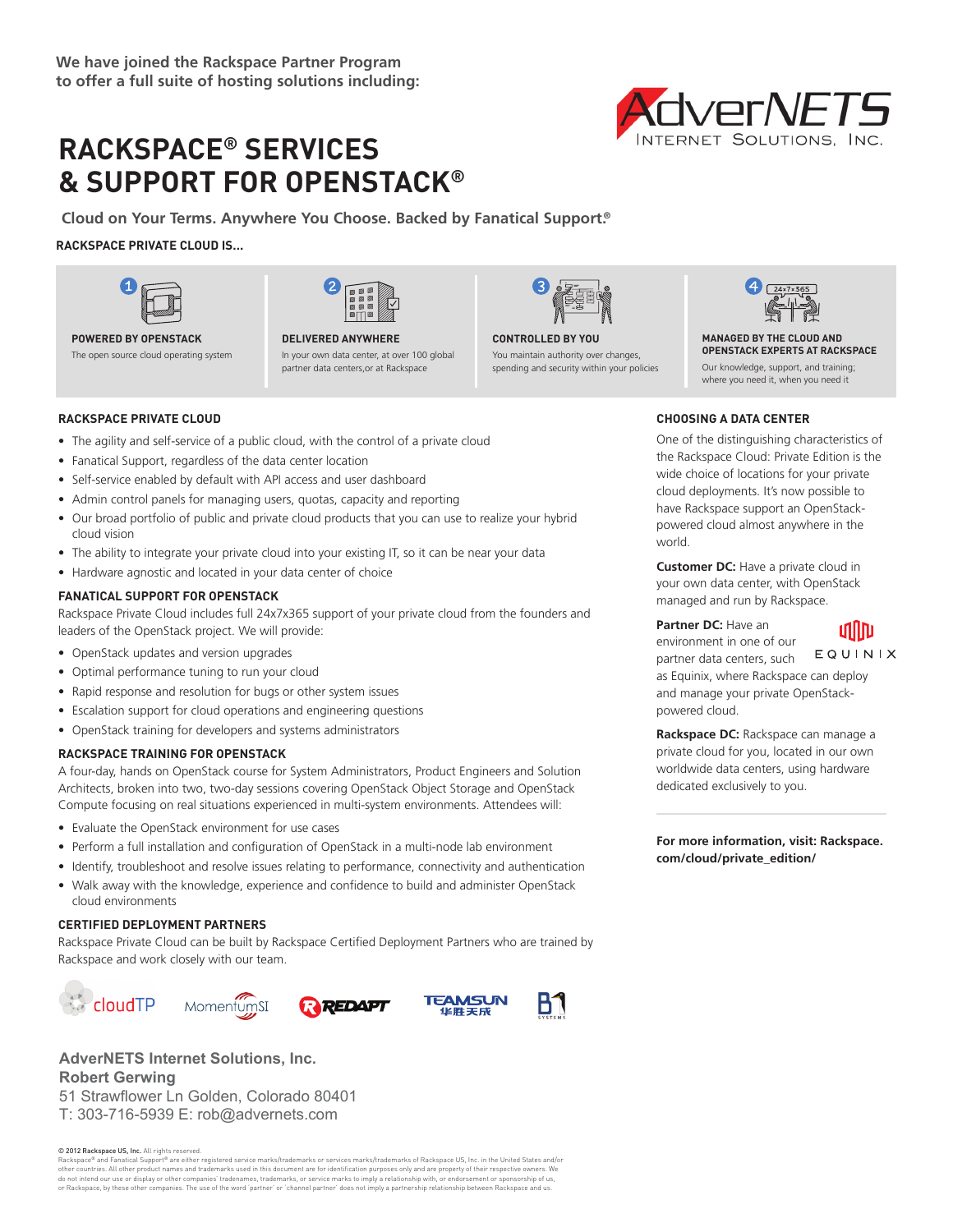# **RACKSPACE® SERVICES & SUPPORT FOR OPENSTACK®**

**Cloud on Your Terms. Anywhere You Choose. Backed by Fanatical Support.®**

### **RACKSPACE PRIVATE CLOUD IS...**





### **POWERED BY OPENSTACK**

The open source cloud operating system

#### **DELIVERED ANYWHERE** In your own data center, at over 100 global partner data centers,or at Rackspace



You maintain authority over changes, spending and security within your policies



**MANAGED BY THE CLOUD AND OPENSTACK EXPERTS AT RACKSPACE** Our knowledge, support, and training; where you need it, when you need it

### **RACKSPACE PRIVATE CLOUD**

- The agility and self-service of a public cloud, with the control of a private cloud
- Fanatical Support, regardless of the data center location
- Self-service enabled by default with API access and user dashboard
- Admin control panels for managing users, quotas, capacity and reporting
- Our broad portfolio of public and private cloud products that you can use to realize your hybrid cloud vision
- The ability to integrate your private cloud into your existing IT, so it can be near your data
- Hardware agnostic and located in your data center of choice

### **FANATICAL SUPPORT FOR OPENSTACK**

Rackspace Private Cloud includes full 24x7x365 support of your private cloud from the founders and leaders of the OpenStack project. We will provide:

- OpenStack updates and version upgrades
- Optimal performance tuning to run your cloud
- Rapid response and resolution for bugs or other system issues
- Escalation support for cloud operations and engineering questions
- OpenStack training for developers and systems administrators

### **RACKSPACE TRAINING FOR OPENSTACK**

A four-day, hands on OpenStack course for System Administrators, Product Engineers and Solution Architects, broken into two, two-day sessions covering OpenStack Object Storage and OpenStack Compute focusing on real situations experienced in multi-system environments. Attendees will:

- Evaluate the OpenStack environment for use cases
- Perform a full installation and configuration of OpenStack in a multi-node lab environment
- Identify, troubleshoot and resolve issues relating to performance, connectivity and authentication
- Walk away with the knowledge, experience and confidence to build and administer OpenStack cloud environments

### **CERTIFIED DEPLOYMENT PARTNERS**

Rackspace Private Cloud can be built by Rackspace Certified Deployment Partners who are trained by Rackspace and work closely with our team.









© 2012 Rackspace US, Inc. All rights reserved.

Rackspace® and Fanatical Support® are either registered service marks/trademarks or services marks/trademarks of Rackspace US, Inc. in the United States and/or other countries. All other product names and trademarks used in this document are for identification purposes only and are property of their respective owners. We do not intend our use or display or other companies' tradenames, trademarks, or service marks to imply a relationship with, or endorsement or sponsorship of us, or Rackspace, by these other companies. The use of the word 'partner' or 'channel partner' does not imply a partnership relationship between Rackspace and us.

## **CHOOSING A DATA CENTER**

One of the distinguishing characteristics of the Rackspace Cloud: Private Edition is the wide choice of locations for your private cloud deployments. It's now possible to have Rackspace support an OpenStackpowered cloud almost anywhere in the world.

**Customer DC:** Have a private cloud in your own data center, with OpenStack managed and run by Rackspace.

**Partner DC:** Have an

### ıdılm

environment in one of our EQUINIX partner data centers, such as Equinix, where Rackspace can deploy and manage your private OpenStackpowered cloud.

**Rackspace DC:** Rackspace can manage a private cloud for you, located in our own worldwide data centers, using hardware dedicated exclusively to you.

**For more information, visit: Rackspace. com/cloud/private\_edition/**